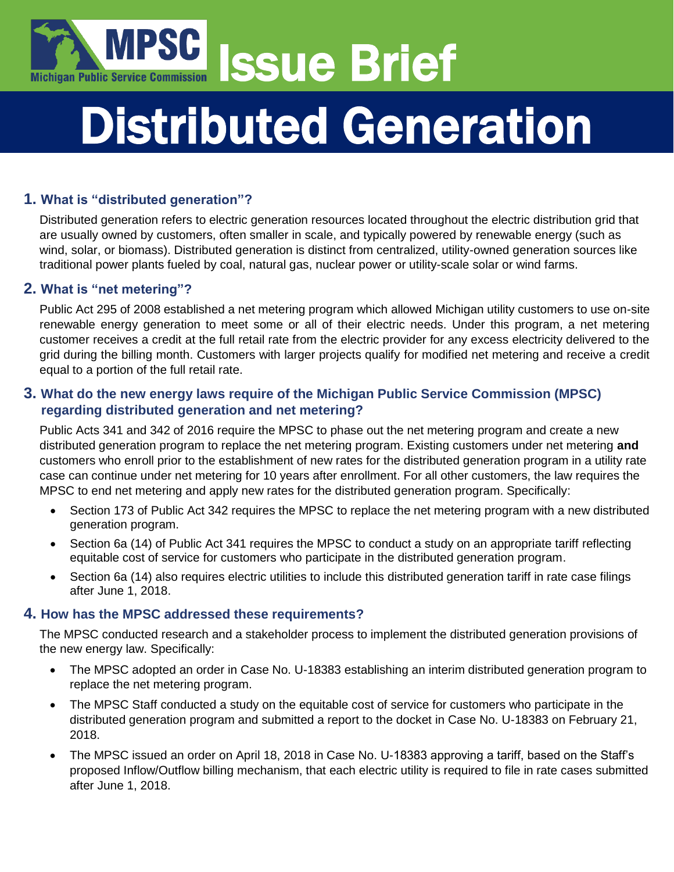

# Distributed Generation

## **1. What is "distributed generation"?**

Distributed generation refers to electric generation resources located throughout the electric distribution grid that are usually owned by customers, often smaller in scale, and typically powered by renewable energy (such as wind, solar, or biomass). Distributed generation is distinct from centralized, utility-owned generation sources like traditional power plants fueled by coal, natural gas, nuclear power or utility-scale solar or wind farms.

## **2. What is "net metering"?**

Public Act 295 of 2008 established a net metering program which allowed Michigan utility customers to use on-site renewable energy generation to meet some or all of their electric needs. Under this program, a net metering customer receives a credit at the full retail rate from the electric provider for any excess electricity delivered to the grid during the billing month. Customers with larger projects qualify for modified net metering and receive a credit equal to a portion of the full retail rate.

## **3. What do the new energy laws require of the Michigan Public Service Commission (MPSC) regarding distributed generation and net metering?**

Public Acts 341 and 342 of 2016 require the MPSC to phase out the net metering program and create a new distributed generation program to replace the net metering program. Existing customers under net metering **and** customers who enroll prior to the establishment of new rates for the distributed generation program in a utility rate case can continue under net metering for 10 years after enrollment. For all other customers, the law requires the MPSC to end net metering and apply new rates for the distributed generation program. Specifically:

- Section 173 of Public Act 342 requires the MPSC to replace the net metering program with a new distributed generation program.
- Section 6a (14) of Public Act 341 requires the MPSC to conduct a study on an appropriate tariff reflecting equitable cost of service for customers who participate in the distributed generation program.
- Section 6a (14) also requires electric utilities to include this distributed generation tariff in rate case filings after June 1, 2018.

#### **4. How has the MPSC addressed these requirements?**

The MPSC conducted research and a stakeholder process to implement the distributed generation provisions of the new energy law. Specifically:

- The MPSC adopted an order in Case No. U-18383 establishing an interim distributed generation program to replace the net metering program.
- The MPSC Staff conducted a study on the equitable cost of service for customers who participate in the distributed generation program and submitted a report to the docket in Case No. U-18383 on February 21, 2018.
- The MPSC issued an order on April 18, 2018 in Case No. U-18383 approving a tariff, based on the Staff's proposed Inflow/Outflow billing mechanism, that each electric utility is required to file in rate cases submitted after June 1, 2018.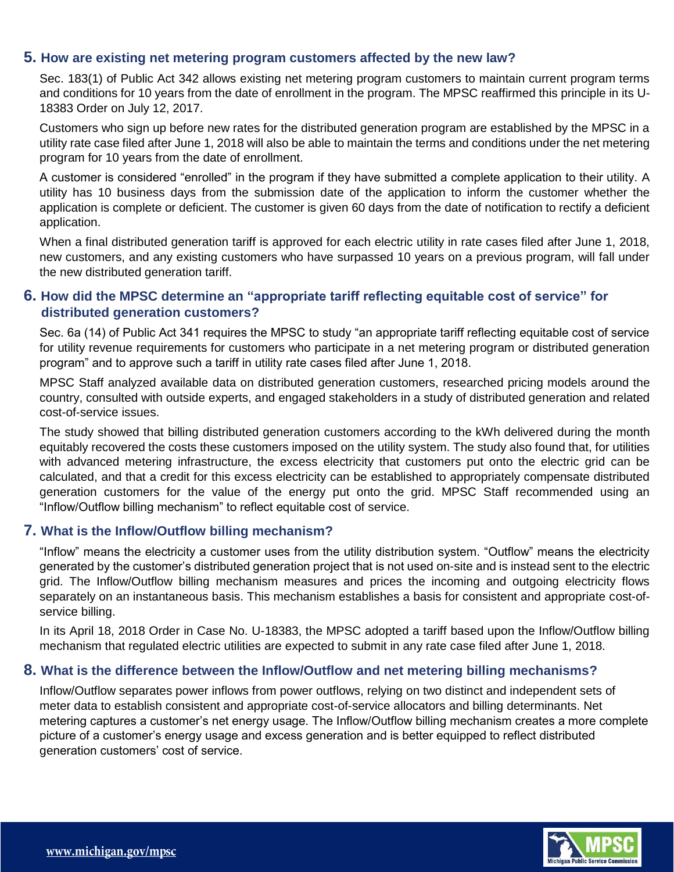#### **5. How are existing net metering program customers affected by the new law?**

Sec. 183(1) of Public Act 342 allows existing net metering program customers to maintain current program terms and conditions for 10 years from the date of enrollment in the program. The MPSC reaffirmed this principle in its U-18383 Order on July 12, 2017.

Customers who sign up before new rates for the distributed generation program are established by the MPSC in a utility rate case filed after June 1, 2018 will also be able to maintain the terms and conditions under the net metering program for 10 years from the date of enrollment.

A customer is considered "enrolled" in the program if they have submitted a complete application to their utility. A utility has 10 business days from the submission date of the application to inform the customer whether the application is complete or deficient. The customer is given 60 days from the date of notification to rectify a deficient application.

When a final distributed generation tariff is approved for each electric utility in rate cases filed after June 1, 2018, new customers, and any existing customers who have surpassed 10 years on a previous program, will fall under the new distributed generation tariff.

#### **6. How did the MPSC determine an "appropriate tariff reflecting equitable cost of service" for distributed generation customers?**

Sec. 6a (14) of Public Act 341 requires the MPSC to study "an appropriate tariff reflecting equitable cost of service for utility revenue requirements for customers who participate in a net metering program or distributed generation program" and to approve such a tariff in utility rate cases filed after June 1, 2018.

MPSC Staff analyzed available data on distributed generation customers, researched pricing models around the country, consulted with outside experts, and engaged stakeholders in a study of distributed generation and related cost-of-service issues.

The study showed that billing distributed generation customers according to the kWh delivered during the month equitably recovered the costs these customers imposed on the utility system. The study also found that, for utilities with advanced metering infrastructure, the excess electricity that customers put onto the electric grid can be calculated, and that a credit for this excess electricity can be established to appropriately compensate distributed generation customers for the value of the energy put onto the grid. MPSC Staff recommended using an "Inflow/Outflow billing mechanism" to reflect equitable cost of service.

#### **7. What is the Inflow/Outflow billing mechanism?**

"Inflow" means the electricity a customer uses from the utility distribution system. "Outflow" means the electricity generated by the customer's distributed generation project that is not used on-site and is instead sent to the electric grid. The Inflow/Outflow billing mechanism measures and prices the incoming and outgoing electricity flows separately on an instantaneous basis. This mechanism establishes a basis for consistent and appropriate cost-ofservice billing.

In its April 18, 2018 Order in Case No. U-18383, the MPSC adopted a tariff based upon the Inflow/Outflow billing mechanism that regulated electric utilities are expected to submit in any rate case filed after June 1, 2018.

#### **8. What is the difference between the Inflow/Outflow and net metering billing mechanisms?**

Inflow/Outflow separates power inflows from power outflows, relying on two distinct and independent sets of meter data to establish consistent and appropriate cost-of-service allocators and billing determinants. Net metering captures a customer's net energy usage. The Inflow/Outflow billing mechanism creates a more complete picture of a customer's energy usage and excess generation and is better equipped to reflect distributed generation customers' cost of service.

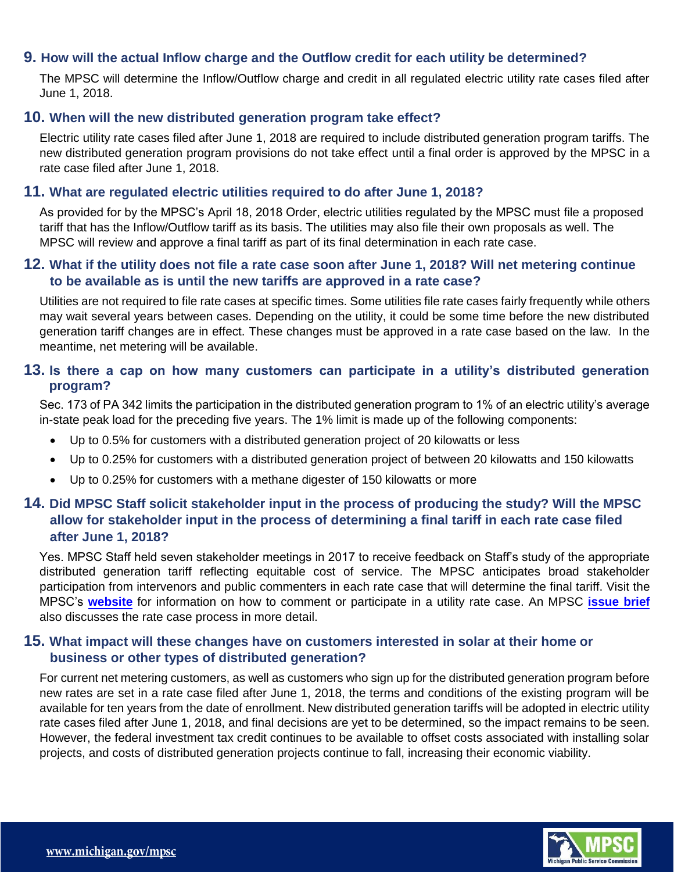#### **9. How will the actual Inflow charge and the Outflow credit for each utility be determined?**

The MPSC will determine the Inflow/Outflow charge and credit in all regulated electric utility rate cases filed after June 1, 2018.

#### **10. When will the new distributed generation program take effect?**

Electric utility rate cases filed after June 1, 2018 are required to include distributed generation program tariffs. The new distributed generation program provisions do not take effect until a final order is approved by the MPSC in a rate case filed after June 1, 2018.

#### **11. What are regulated electric utilities required to do after June 1, 2018?**

As provided for by the MPSC's April 18, 2018 Order, electric utilities regulated by the MPSC must file a proposed tariff that has the Inflow/Outflow tariff as its basis. The utilities may also file their own proposals as well. The MPSC will review and approve a final tariff as part of its final determination in each rate case.

#### **12. What if the utility does not file a rate case soon after June 1, 2018? Will net metering continue to be available as is until the new tariffs are approved in a rate case?**

Utilities are not required to file rate cases at specific times. Some utilities file rate cases fairly frequently while others may wait several years between cases. Depending on the utility, it could be some time before the new distributed generation tariff changes are in effect. These changes must be approved in a rate case based on the law. In the meantime, net metering will be available.

#### **13. Is there a cap on how many customers can participate in a utility's distributed generation program?**

Sec. 173 of PA 342 limits the participation in the distributed generation program to 1% of an electric utility's average in-state peak load for the preceding five years. The 1% limit is made up of the following components:

- Up to 0.5% for customers with a distributed generation project of 20 kilowatts or less
- Up to 0.25% for customers with a distributed generation project of between 20 kilowatts and 150 kilowatts
- Up to 0.25% for customers with a methane digester of 150 kilowatts or more

## **14. Did MPSC Staff solicit stakeholder input in the process of producing the study? Will the MPSC allow for stakeholder input in the process of determining a final tariff in each rate case filed after June 1, 2018?**

Yes. MPSC Staff held seven stakeholder meetings in 2017 to receive feedback on Staff's study of the appropriate distributed generation tariff reflecting equitable cost of service. The MPSC anticipates broad stakeholder participation from intervenors and public commenters in each rate case that will determine the final tariff. Visit the MPSC's **[website](https://www.michigan.gov/mpsc/0,9535,7-395-93308_94950---,00.html)** for information on how to comment or participate in a utility rate case. An MPSC **[issue brief](http://www.michigan.gov/documents/mpsc/Rate_Case_Issue_Brief_3-29-18_618861_7.pdf)** also discusses the rate case process in more detail.

#### **15. What impact will these changes have on customers interested in solar at their home or business or other types of distributed generation?**

For current net metering customers, as well as customers who sign up for the distributed generation program before new rates are set in a rate case filed after June 1, 2018, the terms and conditions of the existing program will be available for ten years from the date of enrollment. New distributed generation tariffs will be adopted in electric utility rate cases filed after June 1, 2018, and final decisions are yet to be determined, so the impact remains to be seen. However, the federal investment tax credit continues to be available to offset costs associated with installing solar projects, and costs of distributed generation projects continue to fall, increasing their economic viability.